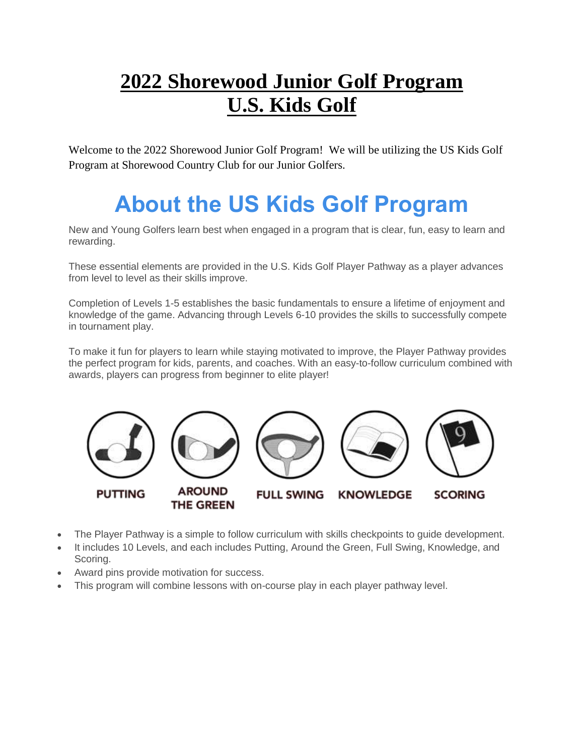# **2022 Shorewood Junior Golf Program U.S. Kids Golf**

Welcome to the 2022 Shorewood Junior Golf Program! We will be utilizing the US Kids Golf Program at Shorewood Country Club for our Junior Golfers.

# **About the US Kids Golf Program**

New and Young Golfers learn best when engaged in a program that is clear, fun, easy to learn and rewarding.

These essential elements are provided in the U.S. Kids Golf Player Pathway as a player advances from level to level as their skills improve.

Completion of Levels 1-5 establishes the basic fundamentals to ensure a lifetime of enjoyment and knowledge of the game. Advancing through Levels 6-10 provides the skills to successfully compete in tournament play.

To make it fun for players to learn while staying motivated to improve, the Player Pathway provides the perfect program for kids, parents, and coaches. With an easy-to-follow curriculum combined with awards, players can progress from beginner to elite player!



- The Player Pathway is a simple to follow curriculum with skills checkpoints to guide development.
- It includes 10 Levels, and each includes Putting, Around the Green, Full Swing, Knowledge, and Scoring.
- Award pins provide motivation for success.
- This program will combine lessons with on-course play in each player pathway level.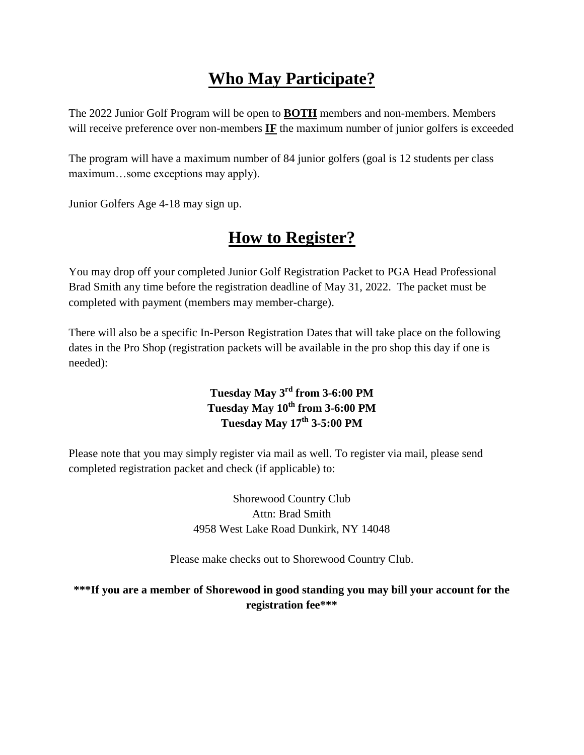## **Who May Participate?**

The 2022 Junior Golf Program will be open to **BOTH** members and non-members. Members will receive preference over non-members **IF** the maximum number of junior golfers is exceeded

The program will have a maximum number of 84 junior golfers (goal is 12 students per class maximum…some exceptions may apply).

Junior Golfers Age 4-18 may sign up.

## **How to Register?**

You may drop off your completed Junior Golf Registration Packet to PGA Head Professional Brad Smith any time before the registration deadline of May 31, 2022. The packet must be completed with payment (members may member-charge).

There will also be a specific In-Person Registration Dates that will take place on the following dates in the Pro Shop (registration packets will be available in the pro shop this day if one is needed):

#### **Tuesday May 3rd from 3-6:00 PM Tuesday May 10th from 3-6:00 PM Tuesday May 17th 3-5:00 PM**

Please note that you may simply register via mail as well. To register via mail, please send completed registration packet and check (if applicable) to:

> Shorewood Country Club Attn: Brad Smith 4958 West Lake Road Dunkirk, NY 14048

Please make checks out to Shorewood Country Club.

**\*\*\*If you are a member of Shorewood in good standing you may bill your account for the registration fee\*\*\***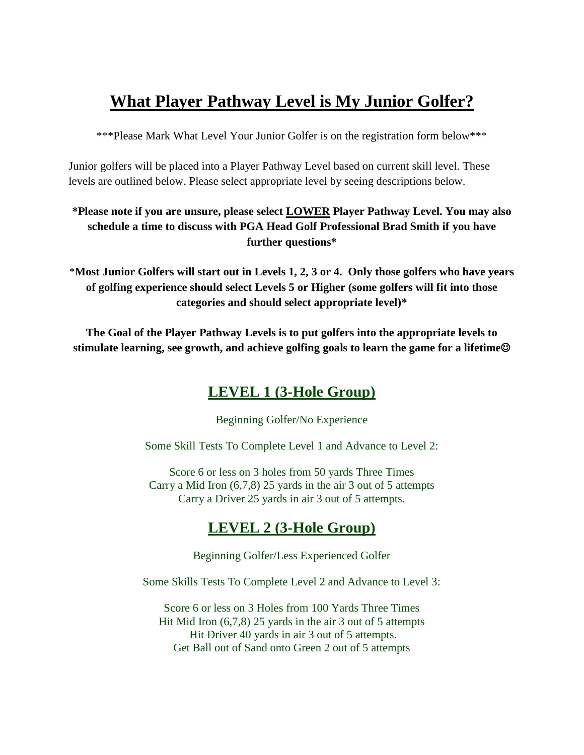## **What Player Pathway Level is My Junior Golfer?**

\*\*\*Please Mark What Level Your Junior Golfer is on the registration form below\*\*\*

Junior golfers will be placed into a Player Pathway Level based on current skill level. These levels are outlined below. Please select appropriate level by seeing descriptions below.

#### **\*Please note if you are unsure, please select LOWER Player Pathway Level. You may also schedule a time to discuss with PGA Head Golf Professional Brad Smith if you have further questions\***

\***Most Junior Golfers will start out in Levels 1, 2, 3 or 4. Only those golfers who have years of golfing experience should select Levels 5 or Higher (some golfers will fit into those categories and should select appropriate level)\***

**The Goal of the Player Pathway Levels is to put golfers into the appropriate levels to stimulate learning, see growth, and achieve golfing goals to learn the game for a lifetime**

## **LEVEL 1 (3-Hole Group)**

Beginning Golfer/No Experience

Some Skill Tests To Complete Level 1 and Advance to Level 2:

Score 6 or less on 3 holes from 50 yards Three Times Carry a Mid Iron (6,7,8) 25 yards in the air 3 out of 5 attempts Carry a Driver 25 yards in air 3 out of 5 attempts.

## **LEVEL 2 (3-Hole Group)**

Beginning Golfer/Less Experienced Golfer

Some Skills Tests To Complete Level 2 and Advance to Level 3:

Score 6 or less on 3 Holes from 100 Yards Three Times Hit Mid Iron (6,7,8) 25 yards in the air 3 out of 5 attempts Hit Driver 40 yards in air 3 out of 5 attempts. Get Ball out of Sand onto Green 2 out of 5 attempts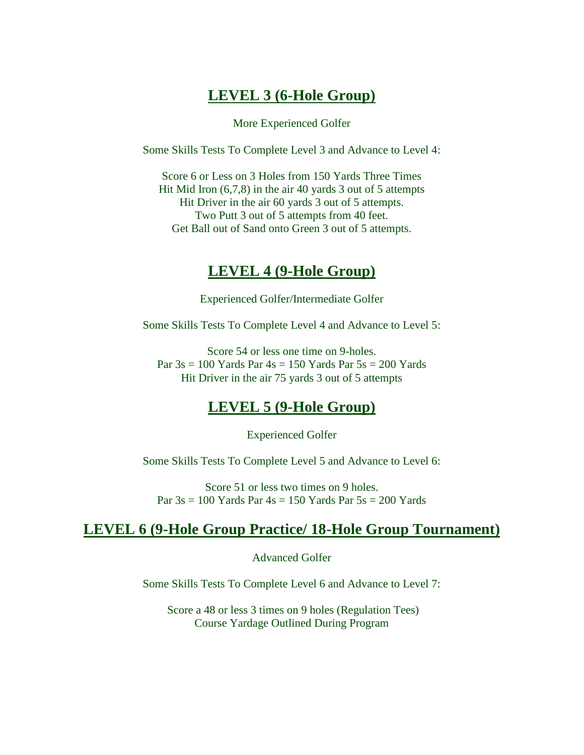#### **LEVEL 3 (6-Hole Group)**

More Experienced Golfer

Some Skills Tests To Complete Level 3 and Advance to Level 4:

Score 6 or Less on 3 Holes from 150 Yards Three Times Hit Mid Iron (6,7,8) in the air 40 yards 3 out of 5 attempts Hit Driver in the air 60 yards 3 out of 5 attempts. Two Putt 3 out of 5 attempts from 40 feet. Get Ball out of Sand onto Green 3 out of 5 attempts.

#### **LEVEL 4 (9-Hole Group)**

Experienced Golfer/Intermediate Golfer

Some Skills Tests To Complete Level 4 and Advance to Level 5:

Score 54 or less one time on 9-holes. Par  $3s = 100$  Yards Par  $4s = 150$  Yards Par  $5s = 200$  Yards Hit Driver in the air 75 yards 3 out of 5 attempts

### **LEVEL 5 (9-Hole Group)**

Experienced Golfer

Some Skills Tests To Complete Level 5 and Advance to Level 6:

Score 51 or less two times on 9 holes. Par  $3s = 100$  Yards Par  $4s = 150$  Yards Par  $5s = 200$  Yards

#### **LEVEL 6 (9-Hole Group Practice/ 18-Hole Group Tournament)**

Advanced Golfer

Some Skills Tests To Complete Level 6 and Advance to Level 7:

Score a 48 or less 3 times on 9 holes (Regulation Tees) Course Yardage Outlined During Program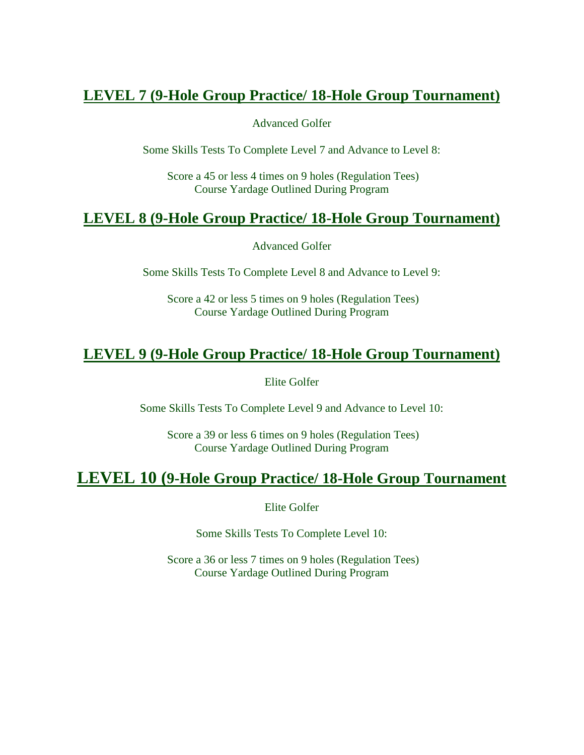### **LEVEL 7 (9-Hole Group Practice/ 18-Hole Group Tournament)**

Advanced Golfer

Some Skills Tests To Complete Level 7 and Advance to Level 8:

Score a 45 or less 4 times on 9 holes (Regulation Tees) Course Yardage Outlined During Program

### **LEVEL 8 (9-Hole Group Practice/ 18-Hole Group Tournament)**

Advanced Golfer

Some Skills Tests To Complete Level 8 and Advance to Level 9:

Score a 42 or less 5 times on 9 holes (Regulation Tees) Course Yardage Outlined During Program

### **LEVEL 9 (9-Hole Group Practice/ 18-Hole Group Tournament)**

Elite Golfer

Some Skills Tests To Complete Level 9 and Advance to Level 10:

Score a 39 or less 6 times on 9 holes (Regulation Tees) Course Yardage Outlined During Program

## **LEVEL 10 (9-Hole Group Practice/ 18-Hole Group Tournament**

Elite Golfer

Some Skills Tests To Complete Level 10:

Score a 36 or less 7 times on 9 holes (Regulation Tees) Course Yardage Outlined During Program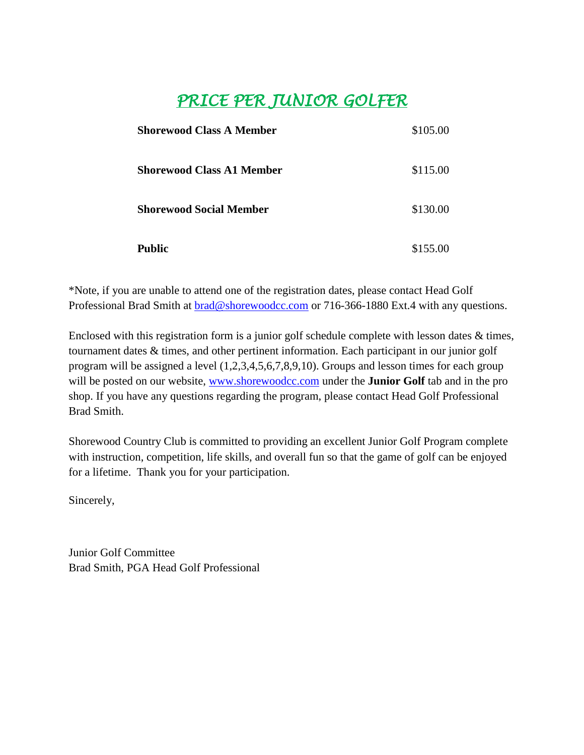## *PRICE PER JUNIOR GOLFER*

| <b>Shorewood Class A Member</b>  | \$105.00 |
|----------------------------------|----------|
| <b>Shorewood Class A1 Member</b> | \$115.00 |
| <b>Shorewood Social Member</b>   | \$130.00 |
| <b>Public</b>                    | \$155.00 |

\*Note, if you are unable to attend one of the registration dates, please contact Head Golf Professional Brad Smith at [brad@shorewoodcc.com](mailto:brad@shorewoodcc.com) or 716-366-1880 Ext.4 with any questions.

Enclosed with this registration form is a junior golf schedule complete with lesson dates & times, tournament dates & times, and other pertinent information. Each participant in our junior golf program will be assigned a level (1,2,3,4,5,6,7,8,9,10). Groups and lesson times for each group will be posted on our website, [www.shorewoodcc.com](http://www.shorewoodcc.com/) under the **Junior Golf** tab and in the pro shop. If you have any questions regarding the program, please contact Head Golf Professional Brad Smith.

Shorewood Country Club is committed to providing an excellent Junior Golf Program complete with instruction, competition, life skills, and overall fun so that the game of golf can be enjoyed for a lifetime. Thank you for your participation.

Sincerely,

Junior Golf Committee Brad Smith, PGA Head Golf Professional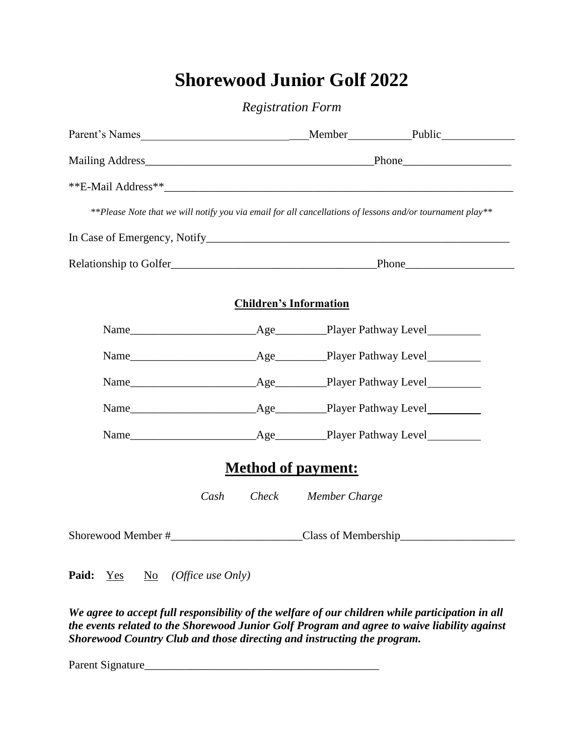# **Shorewood Junior Golf 2022**

*Registration Form*

| **Please Note that we will notify you via email for all cancellations of lessons and/or tournament play** |  |                               |  |  |  |  |
|-----------------------------------------------------------------------------------------------------------|--|-------------------------------|--|--|--|--|
|                                                                                                           |  |                               |  |  |  |  |
|                                                                                                           |  |                               |  |  |  |  |
|                                                                                                           |  | <b>Children's Information</b> |  |  |  |  |
|                                                                                                           |  |                               |  |  |  |  |
|                                                                                                           |  |                               |  |  |  |  |
|                                                                                                           |  |                               |  |  |  |  |
|                                                                                                           |  |                               |  |  |  |  |
|                                                                                                           |  |                               |  |  |  |  |
| <b>Method of payment:</b>                                                                                 |  |                               |  |  |  |  |
| Cash                                                                                                      |  | Check Member Charge           |  |  |  |  |
|                                                                                                           |  |                               |  |  |  |  |

Paid: <u>Yes</u> No *(Office use Only)* 

*We agree to accept full responsibility of the welfare of our children while participation in all the events related to the Shorewood Junior Golf Program and agree to waive liability against Shorewood Country Club and those directing and instructing the program.*

Parent Signature\_\_\_\_\_\_\_\_\_\_\_\_\_\_\_\_\_\_\_\_\_\_\_\_\_\_\_\_\_\_\_\_\_\_\_\_\_\_\_\_\_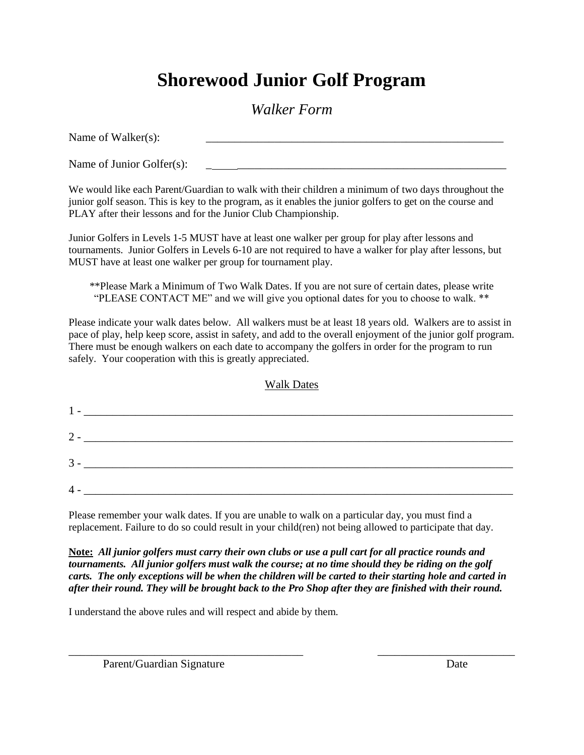# **Shorewood Junior Golf Program**

### *Walker Form*

Name of Walker(s): Name of Junior Golfer(s):

We would like each Parent/Guardian to walk with their children a minimum of two days throughout the junior golf season. This is key to the program, as it enables the junior golfers to get on the course and PLAY after their lessons and for the Junior Club Championship.

Junior Golfers in Levels 1-5 MUST have at least one walker per group for play after lessons and tournaments. Junior Golfers in Levels 6-10 are not required to have a walker for play after lessons, but MUST have at least one walker per group for tournament play.

\*\*Please Mark a Minimum of Two Walk Dates. If you are not sure of certain dates, please write "PLEASE CONTACT ME" and we will give you optional dates for you to choose to walk. \*\*

Please indicate your walk dates below. All walkers must be at least 18 years old. Walkers are to assist in pace of play, help keep score, assist in safety, and add to the overall enjoyment of the junior golf program. There must be enough walkers on each date to accompany the golfers in order for the program to run safely. Your cooperation with this is greatly appreciated.

|--|

| $2 -$ |  |  |  |
|-------|--|--|--|
|       |  |  |  |
| $3 -$ |  |  |  |
| 4.    |  |  |  |

Please remember your walk dates. If you are unable to walk on a particular day, you must find a replacement. Failure to do so could result in your child(ren) not being allowed to participate that day.

**Note:** *All junior golfers must carry their own clubs or use a pull cart for all practice rounds and tournaments. All junior golfers must walk the course; at no time should they be riding on the golf carts. The only exceptions will be when the children will be carted to their starting hole and carted in after their round. They will be brought back to the Pro Shop after they are finished with their round.*

\_\_\_\_\_\_\_\_\_\_\_\_\_\_\_\_\_\_\_\_\_\_\_\_\_\_\_\_\_\_\_\_\_\_\_\_\_\_\_\_\_ \_\_\_\_\_\_\_\_\_\_\_\_\_\_\_\_\_\_\_\_\_\_\_\_

I understand the above rules and will respect and abide by them.

Parent/Guardian Signature Date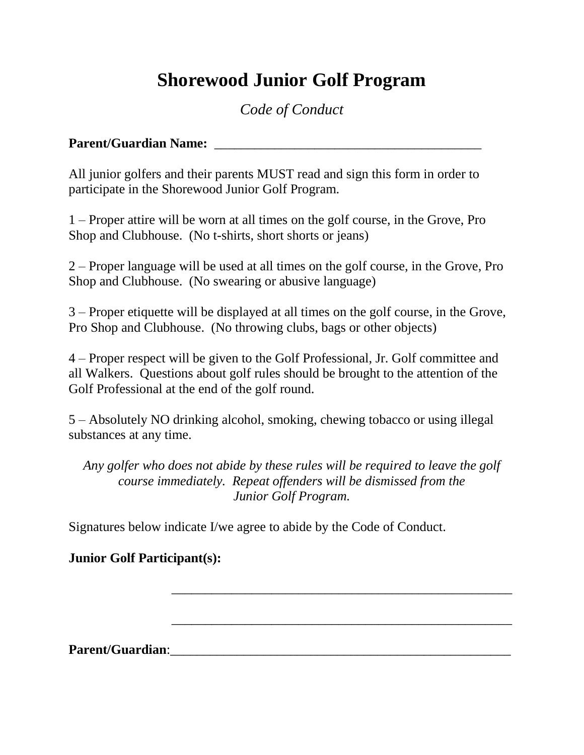# **Shorewood Junior Golf Program**

## *Code of Conduct*

#### **Parent/Guardian Name:**  $\blacksquare$

All junior golfers and their parents MUST read and sign this form in order to participate in the Shorewood Junior Golf Program.

1 – Proper attire will be worn at all times on the golf course, in the Grove, Pro Shop and Clubhouse. (No t-shirts, short shorts or jeans)

2 – Proper language will be used at all times on the golf course, in the Grove, Pro Shop and Clubhouse. (No swearing or abusive language)

3 – Proper etiquette will be displayed at all times on the golf course, in the Grove, Pro Shop and Clubhouse. (No throwing clubs, bags or other objects)

4 – Proper respect will be given to the Golf Professional, Jr. Golf committee and all Walkers. Questions about golf rules should be brought to the attention of the Golf Professional at the end of the golf round.

5 – Absolutely NO drinking alcohol, smoking, chewing tobacco or using illegal substances at any time.

*Any golfer who does not abide by these rules will be required to leave the golf course immediately. Repeat offenders will be dismissed from the Junior Golf Program.*

\_\_\_\_\_\_\_\_\_\_\_\_\_\_\_\_\_\_\_\_\_\_\_\_\_\_\_\_\_\_\_\_\_\_\_\_\_\_\_\_\_\_\_\_\_\_\_\_\_\_\_

\_\_\_\_\_\_\_\_\_\_\_\_\_\_\_\_\_\_\_\_\_\_\_\_\_\_\_\_\_\_\_\_\_\_\_\_\_\_\_\_\_\_\_\_\_\_\_\_\_\_\_

Signatures below indicate I/we agree to abide by the Code of Conduct.

#### **Junior Golf Participant(s):**

**Parent/Guardian:**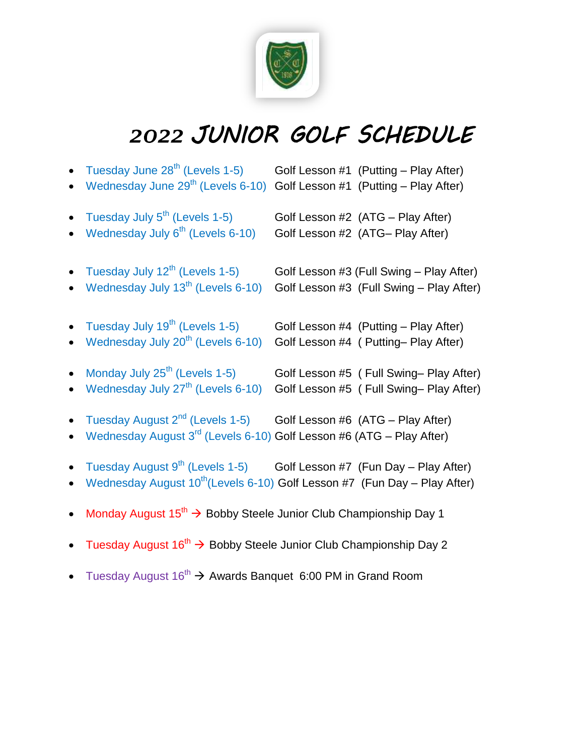

# *2022 JUNIOR GOLF SCHEDULE*

| • Tuesday June $28^{th}$ (Levels 1-5)<br>• Wednesday June 29 <sup>th</sup> (Levels 6-10) Golf Lesson #1 (Putting – Play After)                                          | Golf Lesson #1 (Putting - Play After)                                                |
|-------------------------------------------------------------------------------------------------------------------------------------------------------------------------|--------------------------------------------------------------------------------------|
| • Tuesday July $5^{\text{th}}$ (Levels 1-5)<br>• Wednesday July $6th$ (Levels 6-10)                                                                                     | Golf Lesson #2 (ATG - Play After)<br>Golf Lesson #2 (ATG- Play After)                |
| • Tuesday July $12^{th}$ (Levels 1-5)<br>• Wednesday July 13 <sup>th</sup> (Levels 6-10)                                                                                | Golf Lesson #3 (Full Swing - Play After)<br>Golf Lesson #3 (Full Swing - Play After) |
| • Tuesday July $19^{th}$ (Levels 1-5)<br>• Wednesday July $20^{th}$ (Levels 6-10)                                                                                       | Golf Lesson #4 (Putting - Play After)<br>Golf Lesson #4 ( Putting- Play After)       |
| • Monday July $25^{\text{th}}$ (Levels 1-5)<br>• Wednesday July $27^{\text{th}}$ (Levels 6-10)                                                                          | Golf Lesson #5 (Full Swing-Play After)<br>Golf Lesson #5 (Full Swing-Play After)     |
| • Tuesday August $2^{nd}$ (Levels 1-5) Golf Lesson #6 (ATG – Play After)<br>• Wednesday August $3^{rd}$ (Levels 6-10) Golf Lesson #6 (ATG – Play After)                 |                                                                                      |
| • Tuesday August $9^{th}$ (Levels 1-5) Golf Lesson #7 (Fun Day – Play After)<br>• Wednesday August 10 <sup>th</sup> (Levels 6-10) Golf Lesson #7 (Fun Day - Play After) |                                                                                      |
| • Monday August $15^{th}$ $\rightarrow$ Bobby Steele Junior Club Championship Day 1                                                                                     |                                                                                      |

- Tuesday August  $16^{th} \rightarrow$  Bobby Steele Junior Club Championship Day 2
- Tuesday August  $16^{th} \rightarrow$  Awards Banquet 6:00 PM in Grand Room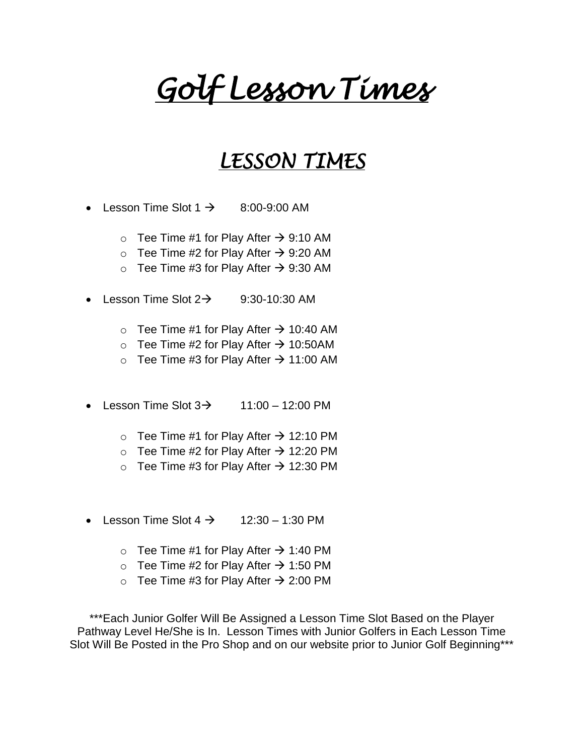# *Golf Lesson Times*

# *LESSON TIMES*

- Lesson Time Slot  $1 \rightarrow 8:00-9:00$  AM
	- $\circ$  Tee Time #1 for Play After  $\rightarrow$  9:10 AM
	- $\circ$  Tee Time #2 for Play After  $\rightarrow$  9:20 AM
	- $\circ$  Tee Time #3 for Play After  $\rightarrow$  9:30 AM
- Elesson Time Slot  $2\rightarrow$  9:30-10:30 AM
	- $\circ$  Tee Time #1 for Play After  $\rightarrow$  10:40 AM
	- $\circ$  Tee Time #2 for Play After  $\rightarrow$  10:50AM
	- $\circ$  Tee Time #3 for Play After  $\rightarrow$  11:00 AM
- Lesson Time Slot  $3\rightarrow$  11:00 12:00 PM
	- $\circ$  Tee Time #1 for Play After  $\rightarrow$  12:10 PM
	- $\circ$  Tee Time #2 for Play After  $\rightarrow$  12:20 PM
	- $\circ$  Tee Time #3 for Play After  $\rightarrow$  12:30 PM
- Elesson Time Slot  $4 \rightarrow 12:30 1:30$  PM
	- $\circ$  Tee Time #1 for Play After  $\rightarrow$  1:40 PM
	- $\circ$  Tee Time #2 for Play After  $\rightarrow$  1:50 PM
	- $\circ$  Tee Time #3 for Play After  $\rightarrow$  2:00 PM

\*\*\*Each Junior Golfer Will Be Assigned a Lesson Time Slot Based on the Player Pathway Level He/She is In. Lesson Times with Junior Golfers in Each Lesson Time Slot Will Be Posted in the Pro Shop and on our website prior to Junior Golf Beginning\*\*\*